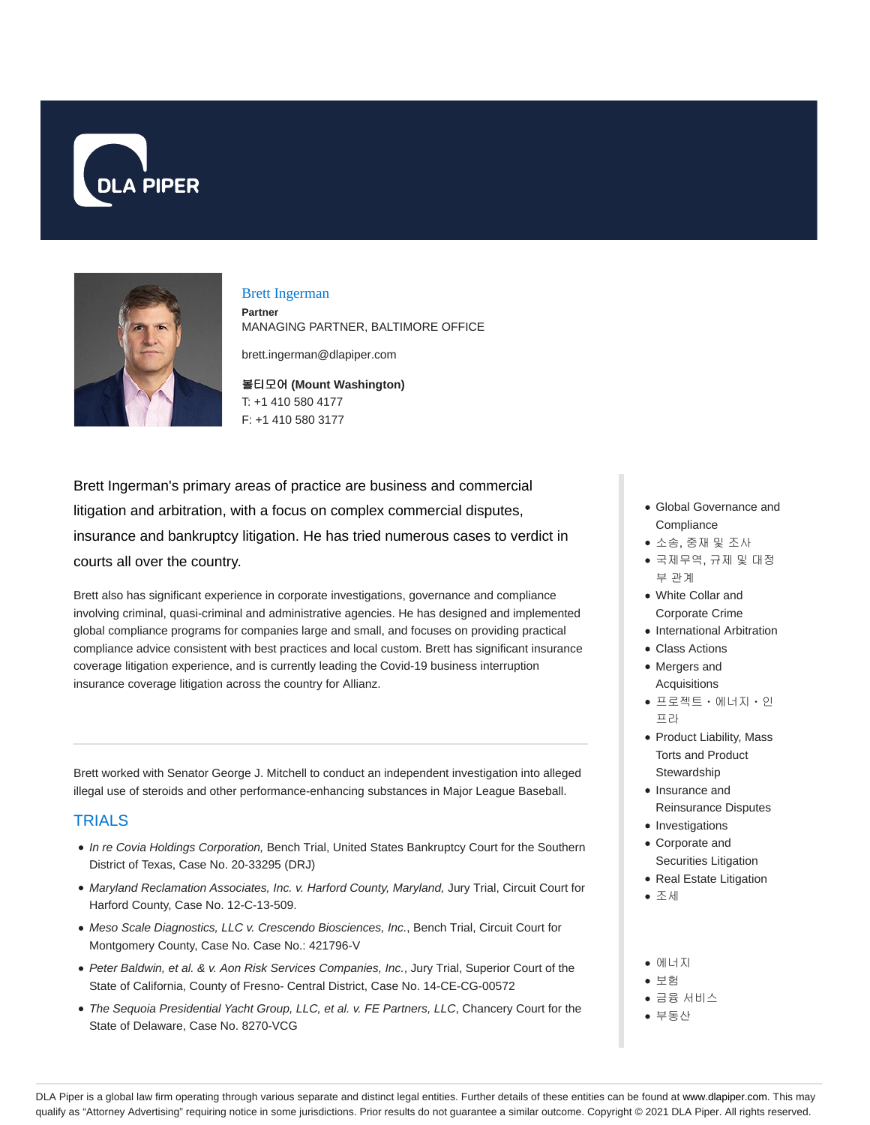



#### Brett Ingerman

**Partner** MANAGING PARTNER, BALTIMORE OFFICE

brett.ingerman@dlapiper.com

볼티모어 **(Mount Washington)** T: +1 410 580 4177 F: +1 410 580 3177

Brett Ingerman's primary areas of practice are business and commercial litigation and arbitration, with a focus on complex commercial disputes, insurance and bankruptcy litigation. He has tried numerous cases to verdict in courts all over the country.

Brett also has significant experience in corporate investigations, governance and compliance involving criminal, quasi-criminal and administrative agencies. He has designed and implemented global compliance programs for companies large and small, and focuses on providing practical compliance advice consistent with best practices and local custom. Brett has significant insurance coverage litigation experience, and is currently leading the Covid-19 business interruption insurance coverage litigation across the country for Allianz.

Brett worked with Senator George J. Mitchell to conduct an independent investigation into alleged illegal use of steroids and other performance-enhancing substances in Major League Baseball.

### **TRIALS**

- In re Covia Holdings Corporation, Bench Trial, United States Bankruptcy Court for the Southern District of Texas, Case No. 20-33295 (DRJ)
- Maryland Reclamation Associates, Inc. v. Harford County, Maryland, Jury Trial, Circuit Court for Harford County, Case No. 12-C-13-509.
- Meso Scale Diagnostics, LLC v. Crescendo Biosciences, Inc., Bench Trial, Circuit Court for Montgomery County, Case No. Case No.: 421796-V
- Peter Baldwin, et al. & v. Aon Risk Services Companies, Inc., Jury Trial, Superior Court of the State of California, County of Fresno- Central District, Case No. 14-CE-CG-00572
- The Sequoia Presidential Yacht Group, LLC, et al. v. FE Partners, LLC, Chancery Court for the State of Delaware, Case No. 8270-VCG
- Global Governance and **Compliance**
- 소송, 중재 및 조사
- 국제무역, 규제 및 대정 부 관계
- White Collar and Corporate Crime
- International Arbitration
- Class Actions
- Mergers and **Acquisitions**
- 프로젝트ㆍ에너지ㆍ인 프라
- Product Liability, Mass Torts and Product **Stewardship**
- Insurance and Reinsurance Disputes
- Investigations
- Corporate and Securities Litigation
- Real Estate Litigation
- 조세
- 에너지
- 보험
- 금융 서비스
- 부동산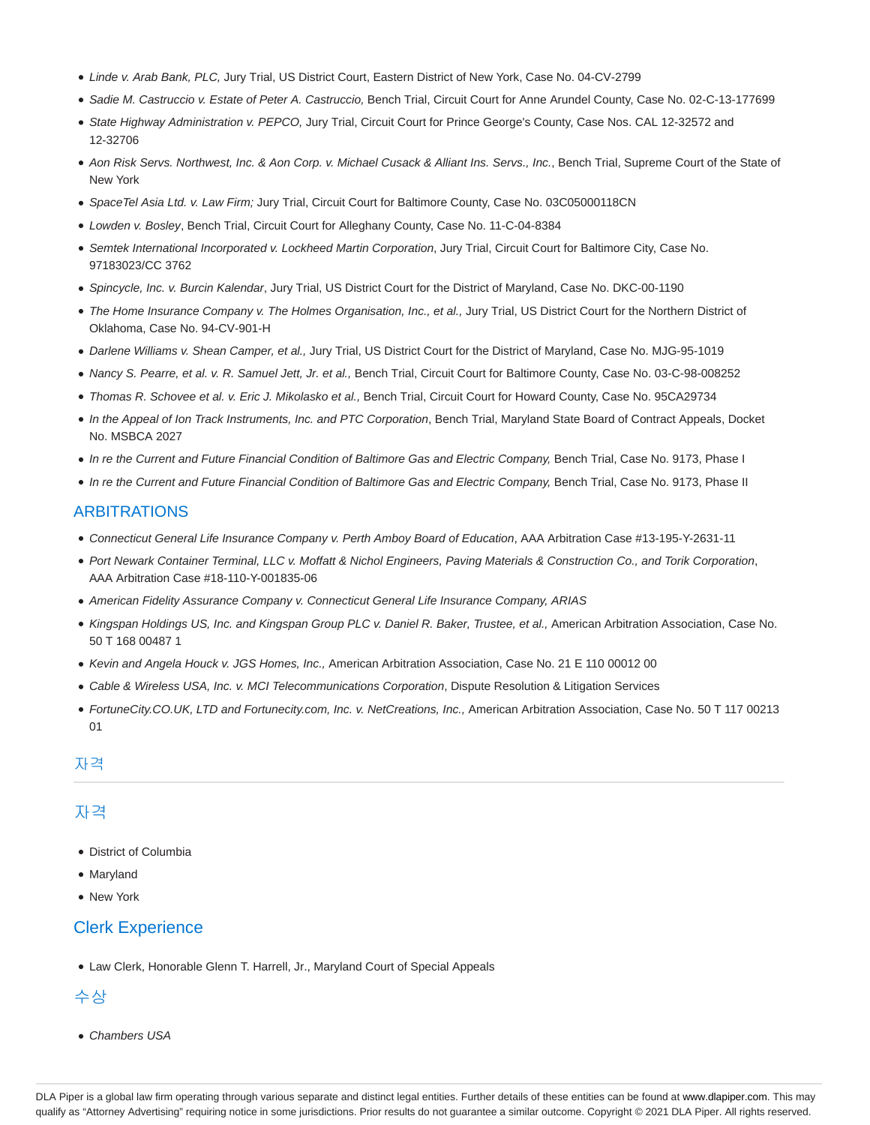- Linde v. Arab Bank, PLC, Jury Trial, US District Court, Eastern District of New York, Case No. 04-CV-2799
- · Sadie M. Castruccio v. Estate of Peter A. Castruccio, Bench Trial, Circuit Court for Anne Arundel County, Case No. 02-C-13-177699
- State Highway Administration v. PEPCO, Jury Trial, Circuit Court for Prince George's County, Case Nos. CAL 12-32572 and 12-32706
- Aon Risk Servs. Northwest, Inc. & Aon Corp. v. Michael Cusack & Alliant Ins. Servs., Inc., Bench Trial, Supreme Court of the State of New York
- SpaceTel Asia Ltd. v. Law Firm; Jury Trial, Circuit Court for Baltimore County, Case No. 03C05000118CN
- Lowden v. Bosley, Bench Trial, Circuit Court for Alleghany County, Case No. 11-C-04-8384
- Semtek International Incorporated v. Lockheed Martin Corporation, Jury Trial, Circuit Court for Baltimore City, Case No. 97183023/CC 3762
- Spincycle, Inc. v. Burcin Kalendar, Jury Trial, US District Court for the District of Maryland, Case No. DKC-00-1190
- The Home Insurance Company v. The Holmes Organisation, Inc., et al., Jury Trial, US District Court for the Northern District of Oklahoma, Case No. 94-CV-901-H
- Darlene Williams v. Shean Camper, et al., Jury Trial, US District Court for the District of Maryland, Case No. MJG-95-1019
- Nancy S. Pearre, et al. v. R. Samuel Jett, Jr. et al., Bench Trial, Circuit Court for Baltimore County, Case No. 03-C-98-008252
- Thomas R. Schovee et al. v. Eric J. Mikolasko et al., Bench Trial, Circuit Court for Howard County, Case No. 95CA29734
- In the Appeal of Ion Track Instruments, Inc. and PTC Corporation, Bench Trial, Maryland State Board of Contract Appeals, Docket No. MSBCA 2027
- In re the Current and Future Financial Condition of Baltimore Gas and Electric Company, Bench Trial, Case No. 9173, Phase I
- In re the Current and Future Financial Condition of Baltimore Gas and Electric Company, Bench Trial, Case No. 9173, Phase II

#### ARBITRATIONS

- Connecticut General Life Insurance Company v. Perth Amboy Board of Education, AAA Arbitration Case #13-195-Y-2631-11
- Port Newark Container Terminal, LLC v. Moffatt & Nichol Engineers, Paving Materials & Construction Co., and Torik Corporation, AAA Arbitration Case #18-110-Y-001835-06
- American Fidelity Assurance Company v. Connecticut General Life Insurance Company, ARIAS
- Kingspan Holdings US, Inc. and Kingspan Group PLC v. Daniel R. Baker, Trustee, et al., American Arbitration Association, Case No. 50 T 168 00487 1
- Kevin and Angela Houck v. JGS Homes, Inc., American Arbitration Association, Case No. 21 E 110 00012 00
- Cable & Wireless USA, Inc. v. MCI Telecommunications Corporation, Dispute Resolution & Litigation Services
- FortuneCity.CO.UK, LTD and Fortunecity.com, Inc. v. NetCreations, Inc., American Arbitration Association, Case No. 50 T 117 00213 01

# 자격

# 자격

- District of Columbia
- Maryland
- New York

# Clerk Experience

Law Clerk, Honorable Glenn T. Harrell, Jr., Maryland Court of Special Appeals

#### 수상

• Chambers USA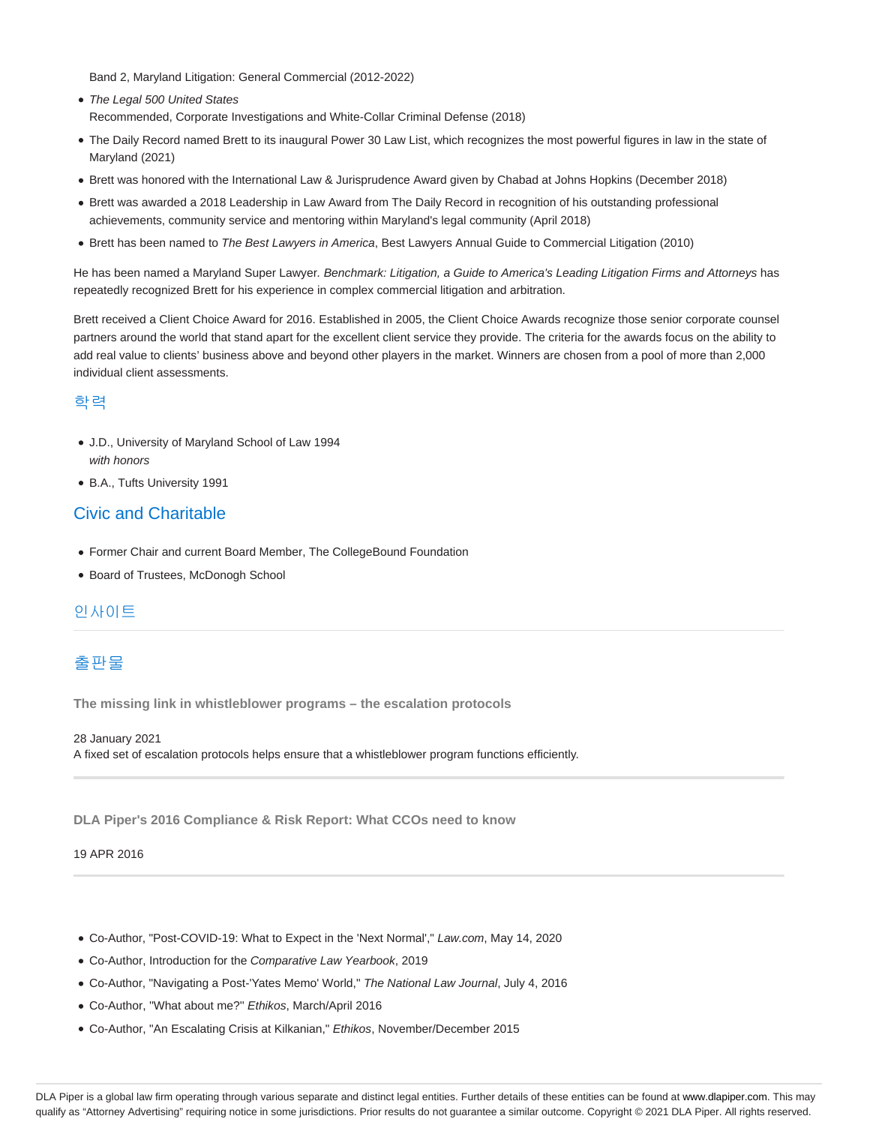Band 2, Maryland Litigation: General Commercial (2012-2022)

- The Legal 500 United States Recommended, Corporate Investigations and White-Collar Criminal Defense (2018)
- The Daily Record named Brett to its inaugural Power 30 Law List, which recognizes the most powerful figures in law in the state of Maryland (2021)
- Brett was honored with the International Law & Jurisprudence Award given by Chabad at Johns Hopkins (December 2018)
- Brett was awarded a 2018 Leadership in Law Award from The Daily Record in recognition of his outstanding professional achievements, community service and mentoring within Maryland's legal community (April 2018)
- Brett has been named to The Best Lawyers in America, Best Lawyers Annual Guide to Commercial Litigation (2010)

He has been named a Maryland Super Lawyer. Benchmark: Litigation, a Guide to America's Leading Litigation Firms and Attorneys has repeatedly recognized Brett for his experience in complex commercial litigation and arbitration.

Brett received a Client Choice Award for 2016. Established in 2005, the Client Choice Awards recognize those senior corporate counsel partners around the world that stand apart for the excellent client service they provide. The criteria for the awards focus on the ability to add real value to clients' business above and beyond other players in the market. Winners are chosen from a pool of more than 2,000 individual client assessments.

#### 학력

- J.D., University of Maryland School of Law 1994 with honors
- B.A., Tufts University 1991

### Civic and Charitable

- Former Chair and current Board Member, The CollegeBound Foundation
- Board of Trustees, McDonogh School

#### 인사이트

# 출판물

**The missing link in whistleblower programs – the escalation protocols**

28 January 2021 A fixed set of escalation protocols helps ensure that a whistleblower program functions efficiently.

**DLA Piper's 2016 Compliance & Risk Report: What CCOs need to know**

19 APR 2016

- Co-Author, "Post-COVID-19: What to Expect in the 'Next Normal'," Law.com, May 14, 2020
- Co-Author, Introduction for the Comparative Law Yearbook, 2019
- Co-Author, "Navigating a Post-'Yates Memo' World," The National Law Journal, July 4, 2016
- Co-Author, ''What about me?'' Ethikos, March/April 2016
- Co-Author, "An Escalating Crisis at Kilkanian," Ethikos, November/December 2015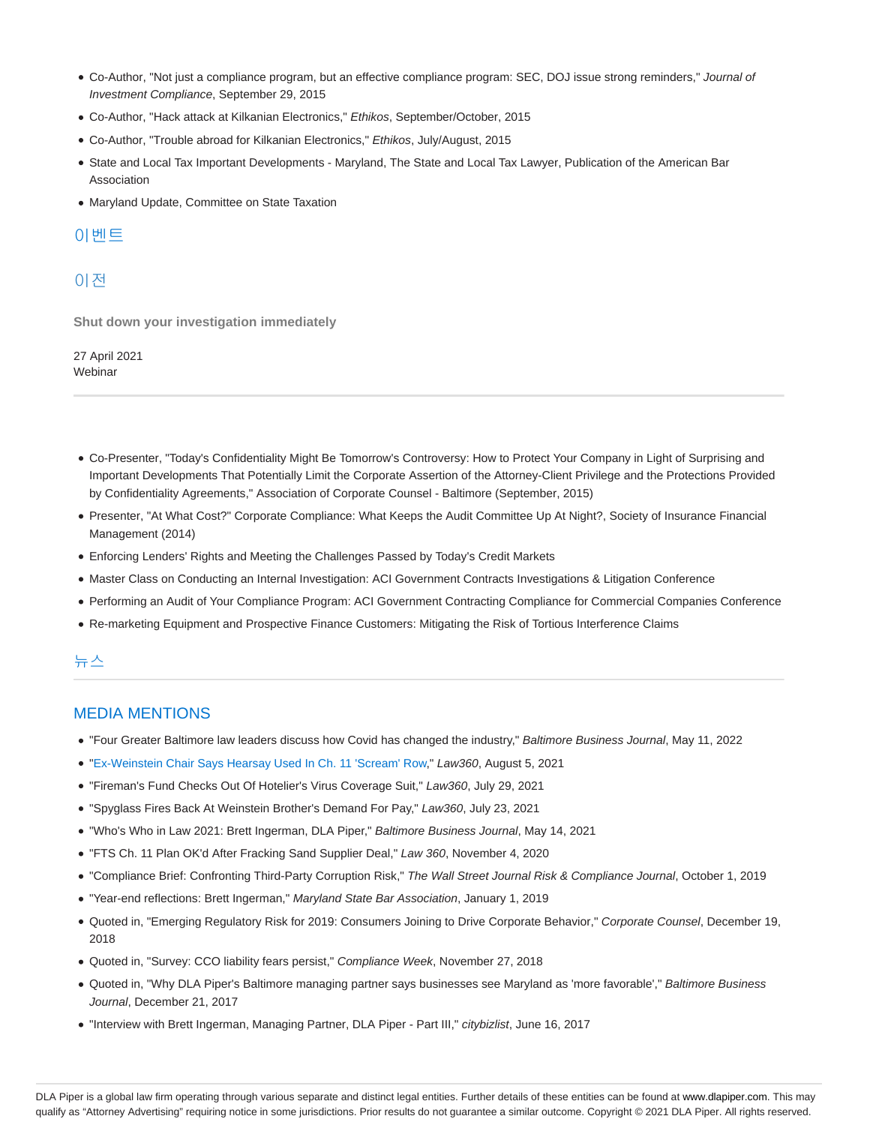- Co-Author, "Not just a compliance program, but an effective compliance program: SEC, DOJ issue strong reminders," Journal of Investment Compliance, September 29, 2015
- Co-Author, "Hack attack at Kilkanian Electronics," Ethikos, September/October, 2015
- Co-Author, "Trouble abroad for Kilkanian Electronics," Ethikos, July/August, 2015
- State and Local Tax Important Developments Maryland, The State and Local Tax Lawyer, Publication of the American Bar Association
- Maryland Update, Committee on State Taxation

# 이벤트

# 이전

**Shut down your investigation immediately**

27 April 2021 **Webinar** 

- Co-Presenter, "Today's Confidentiality Might Be Tomorrow's Controversy: How to Protect Your Company in Light of Surprising and Important Developments That Potentially Limit the Corporate Assertion of the Attorney-Client Privilege and the Protections Provided by Confidentiality Agreements," Association of Corporate Counsel - Baltimore (September, 2015)
- Presenter, "At What Cost?" Corporate Compliance: What Keeps the Audit Committee Up At Night?, Society of Insurance Financial Management (2014)
- Enforcing Lenders' Rights and Meeting the Challenges Passed by Today's Credit Markets
- Master Class on Conducting an Internal Investigation: ACI Government Contracts Investigations & Litigation Conference
- Performing an Audit of Your Compliance Program: ACI Government Contracting Compliance for Commercial Companies Conference
- Re-marketing Equipment and Prospective Finance Customers: Mitigating the Risk of Tortious Interference Claims

# 뉴스

#### MEDIA MENTIONS

- . "Four Greater Baltimore law leaders discuss how Covid has changed the industry," Baltimore Business Journal, May 11, 2022
- "Ex-Weinstein Chair Says Hearsay Used In Ch. 11 'Scream' Row," Law360, August 5, 2021
- "Fireman's Fund Checks Out Of Hotelier's Virus Coverage Suit," Law360, July 29, 2021
- "Spyglass Fires Back At Weinstein Brother's Demand For Pay," Law360, July 23, 2021
- "Who's Who in Law 2021: Brett Ingerman, DLA Piper," Baltimore Business Journal, May 14, 2021
- "FTS Ch. 11 Plan OK'd After Fracking Sand Supplier Deal," Law 360, November 4, 2020
- "Compliance Brief: Confronting Third-Party Corruption Risk," The Wall Street Journal Risk & Compliance Journal, October 1, 2019
- "Year-end reflections: Brett Ingerman," Maryland State Bar Association, January 1, 2019
- Quoted in, "Emerging Regulatory Risk for 2019: Consumers Joining to Drive Corporate Behavior," Corporate Counsel, December 19, 2018
- Quoted in, "Survey: CCO liability fears persist," Compliance Week, November 27, 2018
- Quoted in, "Why DLA Piper's Baltimore managing partner says businesses see Maryland as 'more favorable'," Baltimore Business Journal, December 21, 2017
- "Interview with Brett Ingerman, Managing Partner, DLA Piper Part III," citybizlist, June 16, 2017